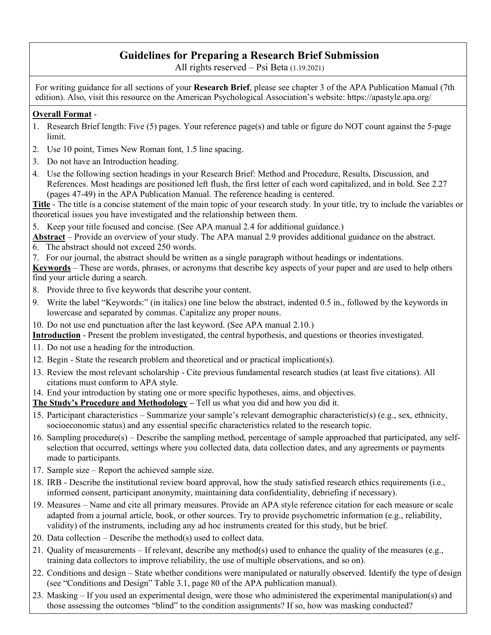# **Guidelines for Preparing a Research Brief Submission**

All rights reserved – Psi Beta (1.19.2021)

For writing guidance for all sections of your **Research Brief**, please see chapter 3 of the APA Publication Manual (7th edition). Also, visit this resource on the American Psychological Association's website: https://apastyle.apa.org/

#### **Overall Format** -

- 1. Research Brief length: Five (5) pages. Your reference page(s) and table or figure do NOT count against the 5-page limit.
- 2. Use 10 point, Times New Roman font, 1.5 line spacing.
- 3. Do not have an Introduction heading.
- 4. Use the following section headings in your Research Brief: Method and Procedure, Results, Discussion, and References. Most headings are positioned left flush, the first letter of each word capitalized, and in bold. See 2.27 (pages 47-49) in the APA Publication Manual. The reference heading is centered.

**Title** - The title is a concise statement of the main topic of your research study. In your title, try to include the variables or theoretical issues you have investigated and the relationship between them.

5. Keep your title focused and concise. (See APA manual 2.4 for additional guidance.)

**Abstract** – Provide an overview of your study. The APA manual 2.9 provides additional guidance on the abstract.

- 6. The abstract should not exceed 250 words.
- 7. For our journal, the abstract should be written as a single paragraph without headings or indentations.

**Keywords** – These are words, phrases, or acronyms that describe key aspects of your paper and are used to help others find your article during a search.

- 8. Provide three to five keywords that describe your content.
- 9. Write the label "Keywords:" (in italics) one line below the abstract, indented 0.5 in., followed by the keywords in lowercase and separated by commas. Capitalize any proper nouns.
- 10. Do not use end punctuation after the last keyword. (See APA manual 2.10.)

**Introduction** - Present the problem investigated, the central hypothesis, and questions or theories investigated.

- 11. Do not use a heading for the introduction.
- 12. Begin State the research problem and theoretical and or practical implication(s).
- 13. Review the most relevant scholarship Cite previous fundamental research studies (at least five citations). All citations must conform to APA style.
- 14. End your introduction by stating one or more specific hypotheses, aims, and objectives.

**The Study's Procedure and Methodology –** Tell us what you did and how you did it.

- 15. Participant characteristics Summarize your sample's relevant demographic characteristic(s) (e.g., sex, ethnicity, socioeconomic status) and any essential specific characteristics related to the research topic.
- 16. Sampling procedure(s) Describe the sampling method, percentage of sample approached that participated, any selfselection that occurred, settings where you collected data, data collection dates, and any agreements or payments made to participants.
- 17. Sample size Report the achieved sample size.
- 18. IRB Describe the institutional review board approval, how the study satisfied research ethics requirements (i.e., informed consent, participant anonymity, maintaining data confidentiality, debriefing if necessary).
- 19. Measures Name and cite all primary measures. Provide an APA style reference citation for each measure or scale adapted from a journal article, book, or other sources. Try to provide psychometric information (e.g., reliability, validity) of the instruments, including any ad hoc instruments created for this study, but be brief.
- 20. Data collection Describe the method(s) used to collect data.
- 21. Quality of measurements If relevant, describe any method(s) used to enhance the quality of the measures (e.g., training data collectors to improve reliability, the use of multiple observations, and so on).
- 22. Conditions and design State whether conditions were manipulated or naturally observed. Identify the type of design (see "Conditions and Design" Table 3.1, page 80 of the APA publication manual).
- 23. Masking If you used an experimental design, were those who administered the experimental manipulation(s) and those assessing the outcomes "blind" to the condition assignments? If so, how was masking conducted?